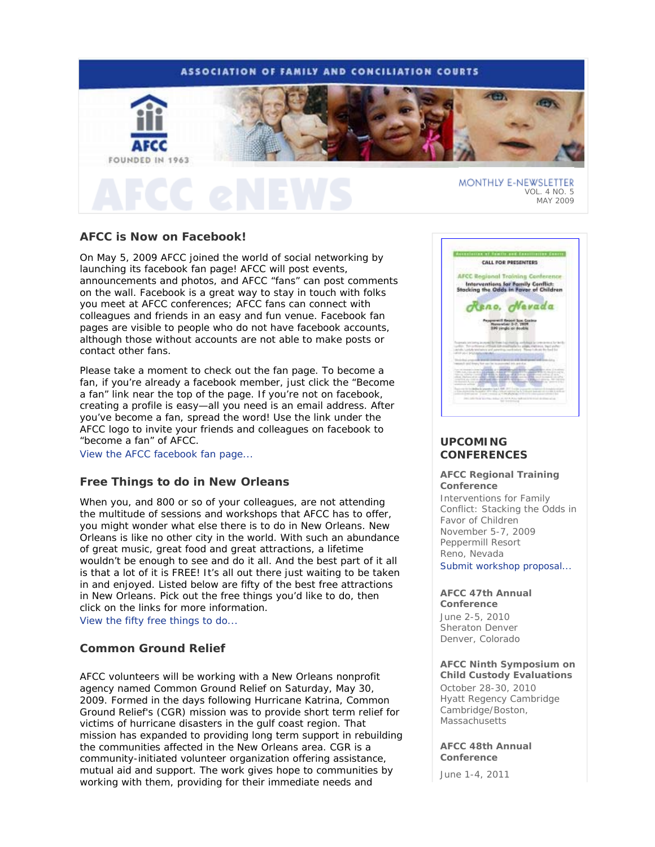# **ASSOCIATION OF FAMILY AND CONCILIATION COURTS**



MAY 2009

# **AFCC is Now on Facebook!**

On May 5, 2009 AFCC joined the world of social networking by launching its facebook fan page! AFCC will post events, announcements and photos, and AFCC "fans" can post comments on the wall. Facebook is a great way to stay in touch with folks you meet at AFCC conferences; AFCC fans can connect with colleagues and friends in an easy and fun venue. Facebook fan pages are visible to people who do not have facebook accounts, although those without accounts are not able to make posts or contact other fans.

Please take a moment to check out the fan page. To become a fan, if you're already a facebook member, just click the "Become a fan" link near the top of the page. If you're not on facebook, creating a profile is easy—all you need is an email address. After you've become a fan, spread the word! Use the link under the AFCC logo to invite your friends and colleagues on facebook to "become a fan" of AFCC.

View the AFCC facebook fan page...

# **Free Things to do in New Orleans**

When you, and 800 or so of your colleagues, are not attending the multitude of sessions and workshops that AFCC has to offer, you might wonder what else there is to do in New Orleans. New Orleans is like no other city in the world. With such an abundance of great music, great food and great attractions, a lifetime wouldn't be enough to see and do it all. And the best part of it all is that a lot of it is FREE! It's all out there just waiting to be taken in and enjoyed. Listed below are fifty of the best free attractions in New Orleans. Pick out the free things you'd like to do, then click on the links for more information.

View the fifty free things to do...

# **Common Ground Relief**

AFCC volunteers will be working with a New Orleans nonprofit agency named Common Ground Relief on Saturday, May 30, 2009. Formed in the days following Hurricane Katrina, Common Ground Relief's (CGR) mission was to provide short term relief for victims of hurricane disasters in the gulf coast region. That mission has expanded to providing long term support in rebuilding the communities affected in the New Orleans area. CGR is a community-initiated volunteer organization offering assistance, mutual aid and support. The work gives hope to communities by working with them, providing for their immediate needs and



# **UPCOMING CONFERENCES**

### **AFCC Regional Training Conference** *Interventions for Family*

*Conflict: Stacking the Odds in Favor of Children*  November 5-7, 2009 Peppermill Resort Reno, Nevada Submit workshop proposal...

# **AFCC 47th Annual**

**Conference**  June 2-5, 2010 Sheraton Denver Denver, Colorado

# **AFCC Ninth Symposium on Child Custody Evaluations**

October 28-30, 2010 Hyatt Regency Cambridge Cambridge/Boston, **Massachusetts** 

# **AFCC 48th Annual Conference**

June 1-4, 2011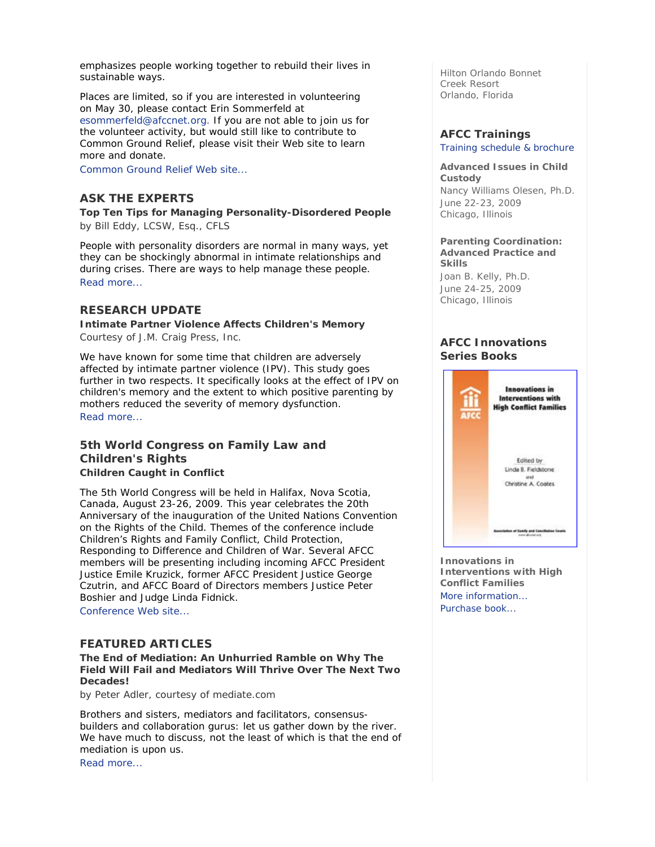emphasizes people working together to rebuild their lives in sustainable ways.

Places are limited, so if you are interested in volunteering on May 30, please contact Erin Sommerfeld at esommerfeld@afccnet.org. If you are not able to join us for the volunteer activity, but would still like to contribute to Common Ground Relief, please visit their Web site to learn more and donate.

Common Ground Relief Web site...

# **ASK THE EXPERTS**

**Top Ten Tips for Managing Personality-Disordered People**  *by Bill Eddy, LCSW, Esq., CFLS* 

People with personality disorders are normal in many ways, yet they can be shockingly abnormal in intimate relationships and during crises. There are ways to help manage these people. Read more...

# **RESEARCH UPDATE**

**Intimate Partner Violence Affects Children's Memory**  *Courtesy of J.M. Craig Press, Inc.* 

We have known for some time that children are adversely affected by intimate partner violence (IPV). This study goes further in two respects. It specifically looks at the effect of IPV on children's memory and the extent to which positive parenting by mothers reduced the severity of memory dysfunction. Read more...

# **5th World Congress on Family Law and Children's Rights Children Caught in Conflict**

The 5th World Congress will be held in Halifax, Nova Scotia, Canada, August 23-26, 2009. This year celebrates the 20th Anniversary of the inauguration of the United Nations Convention on the Rights of the Child. Themes of the conference include Children's Rights and Family Conflict, Child Protection, Responding to Difference and Children of War. Several AFCC members will be presenting including incoming AFCC President Justice Emile Kruzick, former AFCC President Justice George Czutrin, and AFCC Board of Directors members Justice Peter Boshier and Judge Linda Fidnick.

Conference Web site...

# **FEATURED ARTICLES**

**The End of Mediation: An Unhurried Ramble on Why The Field Will Fail and Mediators Will Thrive Over The Next Two Decades!** 

*by Peter Adler, courtesy of mediate.com* 

Brothers and sisters, mediators and facilitators, consensusbuilders and collaboration gurus: let us gather down by the river. We have much to discuss, not the least of which is that the end of mediation is upon us. Read more...

Hilton Orlando Bonnet Creek Resort Orlando, Florida

# **AFCC Trainings**

Training schedule & brochure

#### **Advanced Issues in Child Custody**

*Nancy Williams Olesen, Ph.D.* June 22-23, 2009 Chicago, Illinois

#### **Parenting Coordination: Advanced Practice and Skills**

*Joan B. Kelly, Ph.D.* June 24-25, 2009 Chicago, Illinois

# **AFCC Innovations Series Books**



**Innovations in Interventions with High Conflict Families** More information... Purchase book...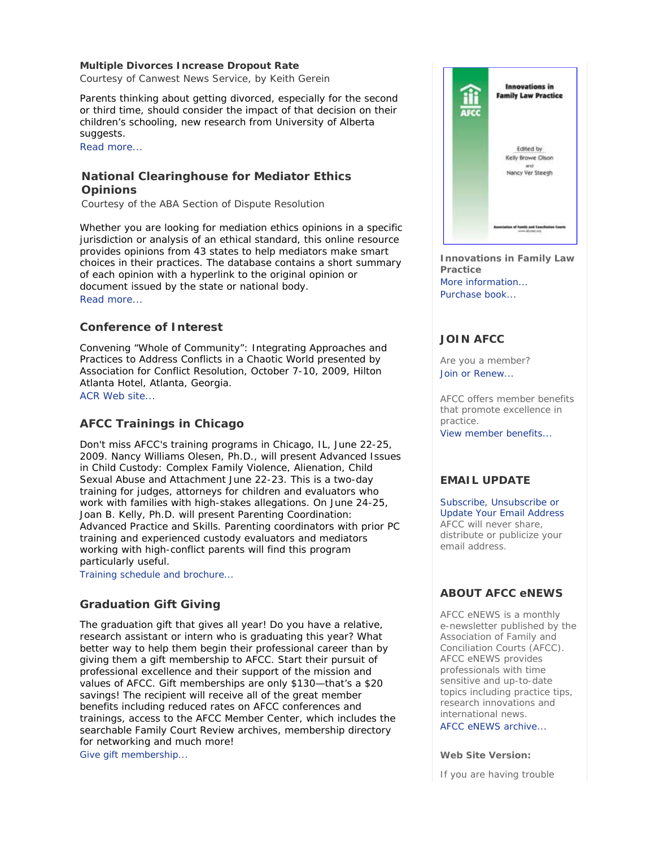# **Multiple Divorces Increase Dropout Rate**

*Courtesy of Canwest News Service, by Keith Gerein* 

Parents thinking about getting divorced, especially for the second or third time, should consider the impact of that decision on their children's schooling, new research from University of Alberta suggests.

Read more...

# **National Clearinghouse for Mediator Ethics Opinions**

*Courtesy of the ABA Section of Dispute Resolution* 

Whether you are looking for mediation ethics opinions in a specific jurisdiction or analysis of an ethical standard, this online resource provides opinions from 43 states to help mediators make smart choices in their practices. The database contains a short summary of each opinion with a hyperlink to the original opinion or document issued by the state or national body. Read more...

# **Conference of Interest**

*Convening "Whole of Community": Integrating Approaches and Practices to Address Conflicts in a Chaotic World* presented by Association for Conflict Resolution, October 7-10, 2009, Hilton Atlanta Hotel, Atlanta, Georgia.

ACR Web site...

# **AFCC Trainings in Chicago**

Don't miss AFCC's training programs in Chicago, IL, June 22-25, 2009. Nancy Williams Olesen, Ph.D., will present *Advanced Issues in Child Custody: Complex Family Violence, Alienation, Child Sexual Abuse and Attachment* June 22-23. This is a two-day training for judges, attorneys for children and evaluators who work with families with high-stakes allegations. On June 24-25, Joan B. Kelly, Ph.D. will present *Parenting Coordination: Advanced Practice and Skills*. Parenting coordinators with prior PC training and experienced custody evaluators and mediators working with high-conflict parents will find this program particularly useful.

Training schedule and brochure...

# **Graduation Gift Giving**

The graduation gift that gives all year! Do you have a relative, research assistant or intern who is graduating this year? What better way to help them begin their professional career than by giving them a gift membership to AFCC. Start their pursuit of professional excellence and their support of the mission and values of AFCC. Gift memberships are only \$130—that's a \$20 savings! The recipient will receive all of the great member benefits including reduced rates on AFCC conferences and trainings, access to the AFCC Member Center, which includes the searchable *Family Court Review* archives, membership directory for networking and much more!

Give gift membership...



**Innovations in Family Law Practice**  More information... Purchase book...

# **JOIN AFCC**

Are you a member? Join or Renew...

AFCC offers member benefits that promote excellence in practice.

View member benefits...

# **EMAIL UPDATE**

Subscribe, Unsubscribe or Update Your Email Address AFCC will never share, distribute or publicize your email address.

# **ABOUT AFCC eNEWS**

*AFCC eNEWS* is a monthly e-newsletter published by the Association of Family and Conciliation Courts (AFCC). *AFCC eNEWS* provides professionals with time sensitive and up-to-date topics including practice tips, research innovations and international news.

AFCC eNEWS archive...

**Web Site Version:**

If you are having trouble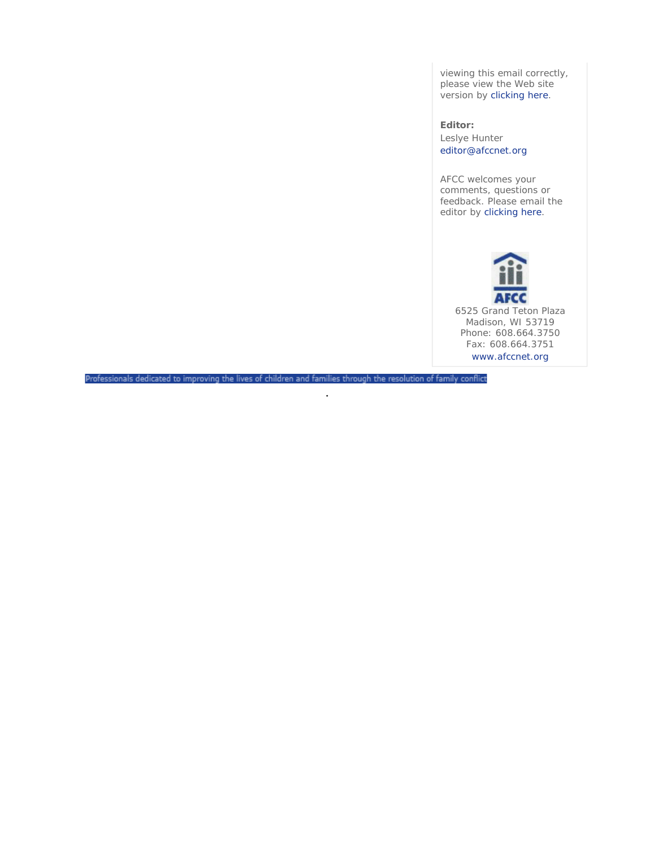viewing this email correctly, please view the Web site version by clicking here.

**Editor:**  Leslye Hunter editor@afccnet.org

AFCC welcomes your comments, questions or feedback. Please email the editor by clicking here.



Professionals dedicated to improving the lives of children and families through the resolution of family conflict

.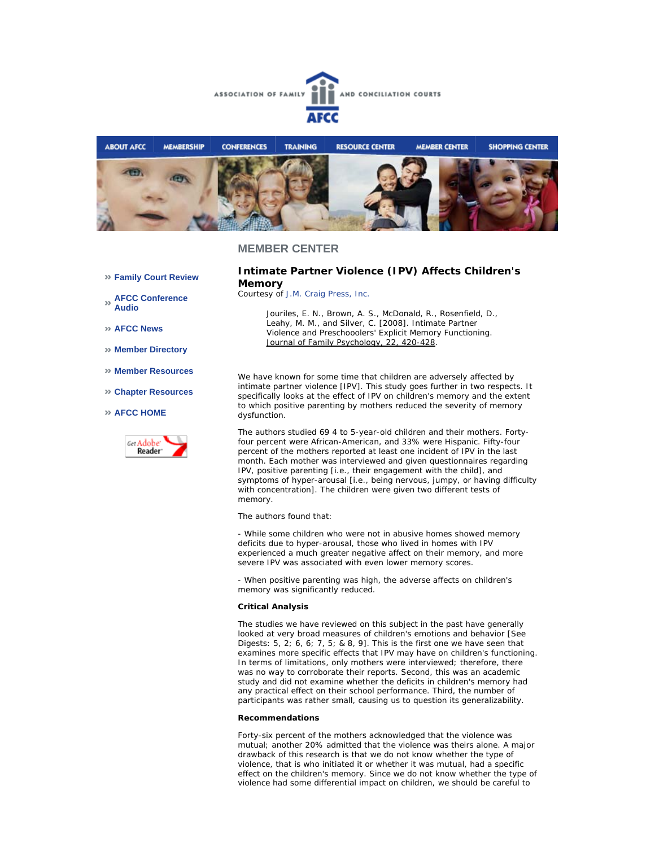



#### **MEMBER CENTER**

**Family Court Review** 

**AFCC Conference Audio** 

**AFCC News** 

**Member Directory** 

- **Member Resources**
- **Chapter Resources**

#### **AFCC HOME**



**Intimate Partner Violence (IPV) Affects Children's Memory** 

*Courtesy of J.M. Craig Press, Inc.*

*Jouriles, E. N., Brown, A. S., McDonald, R., Rosenfield, D.,*  Leahy, M. M., and Silver, C. [2008]. Intimate Partner *Violence and Preschooolers' Explicit Memory Functioning. Journal of Family Psychology, 22, 420-428.*

We have known for some time that children are adversely affected by intimate partner violence [IPV]. This study goes further in two respects. It specifically looks at the effect of IPV on children's memory and the extent to which positive parenting by mothers reduced the severity of memory dysfunction.

The authors studied 69 4 to 5-year-old children and their mothers. Fortyfour percent were African-American, and 33% were Hispanic. Fifty-four percent of the mothers reported at least one incident of IPV in the last month. Each mother was interviewed and given questionnaires regarding IPV, positive parenting [i.e., their engagement with the child], and symptoms of hyper-arousal [i.e., being nervous, jumpy, or having difficulty with concentration]. The children were given two different tests of memory.

The authors found that:

- While some children who were not in abusive homes showed memory deficits due to hyper-arousal, those who lived in homes with IPV experienced a much greater negative affect on their memory, and more severe IPV was associated with even lower memory scores.

- When positive parenting was high, the adverse affects on children's memory was significantly reduced.

#### **Critical Analysis**

The studies we have reviewed on this subject in the past have generally looked at very broad measures of children's emotions and behavior [See Digests: 5, 2; 6, 6; 7, 5; & 8, 9]. This is the first one we have seen that examines more specific effects that IPV may have on children's functioning. In terms of limitations, only mothers were interviewed; therefore, there was no way to corroborate their reports. Second, this was an academic study and did not examine whether the deficits in children's memory had any practical effect on their school performance. Third, the number of participants was rather small, causing us to question its generalizability.

#### **Recommendations**

Forty-six percent of the mothers acknowledged that the violence was mutual; another 20% admitted that the violence was theirs alone. A major drawback of this research is that we do not know whether the type of violence, that is who initiated it or whether it was mutual, had a specific effect on the children's memory. Since we do not know whether the type of violence had some differential impact on children, we should be careful to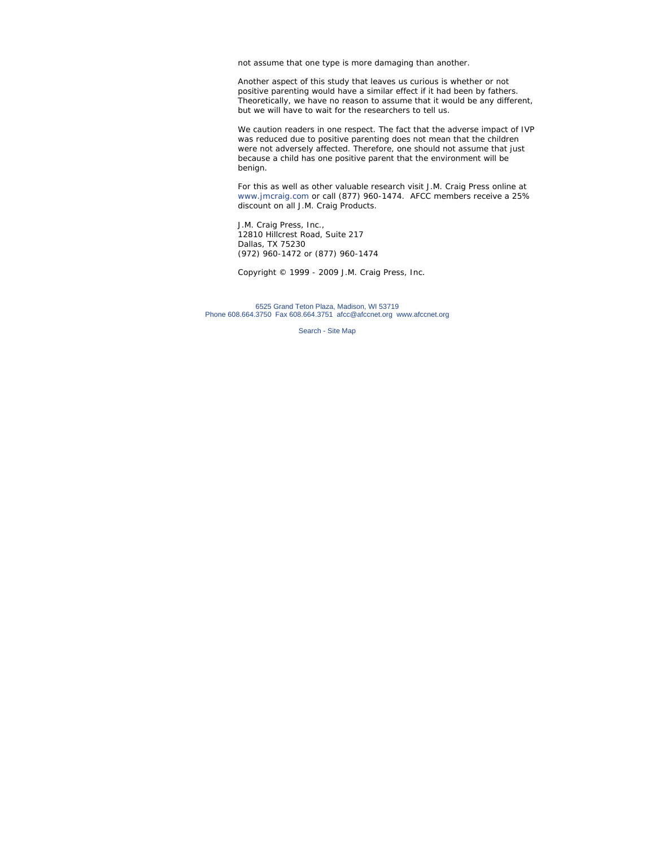not assume that one type is more damaging than another.

Another aspect of this study that leaves us curious is whether or not positive parenting would have a similar effect if it had been by fathers. Theoretically, we have no reason to assume that it would be any different, but we will have to wait for the researchers to tell us.

We caution readers in one respect. The fact that the adverse impact of IVP was reduced due to positive parenting does not mean that the children were not adversely affected. Therefore, one should not assume that just because a child has one positive parent that the environment will be benign.

*For this as well as other valuable research visit J.M. Craig Press online at www.jmcraig.com or call (877) 960-1474. AFCC members receive a 25% discount on all J.M. Craig Products.*

J.M. Craig Press, Inc., 12810 Hillcrest Road, Suite 217 Dallas, TX 75230 (972) 960-1472 or (877) 960-1474

*Copyright © 1999 - 2009 J.M. Craig Press, Inc.*

6525 Grand Teton Plaza, Madison, WI 53719 Phone 608.664.3750 Fax 608.664.3751 afcc@afccnet.org www.afccnet.org

Search - Site Map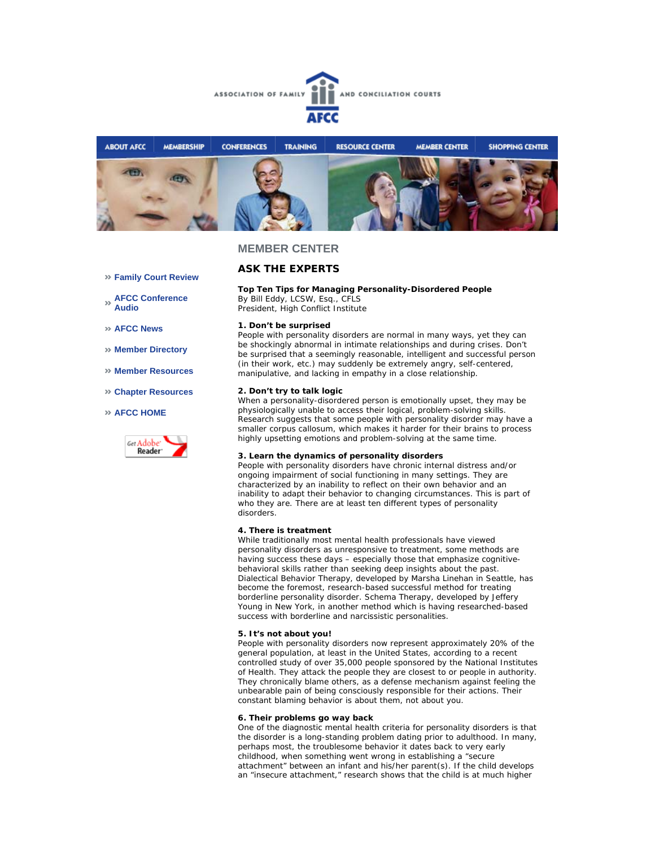



# **MEMBER CENTER**

## **Family Court Review**

**AFCC Conference Audio** 

**AFCC News** 

**Member Directory** 

- **Member Resources**
- **Chapter Resources**

#### **AFCC HOME**



# **ASK THE EXPERTS**

#### **Top Ten Tips for Managing Personality-Disordered People** *By Bill Eddy, LCSW, Esq., CFLS*

*President, High Conflict Institute*

#### **1. Don't be surprised**

People with personality disorders are normal in many ways, yet they can be shockingly abnormal in intimate relationships and during crises. Don't be surprised that a seemingly reasonable, intelligent and successful person (in their work, etc.) may suddenly be extremely angry, self-centered, manipulative, and lacking in empathy in a close relationship.

#### **2. Don't try to talk logic**

When a personality-disordered person is emotionally upset, they may be physiologically unable to access their logical, problem-solving skills. Research suggests that some people with personality disorder may have a smaller corpus callosum, which makes it harder for their brains to process highly upsetting emotions and problem-solving at the same time.

#### **3. Learn the dynamics of personality disorders**

People with personality disorders have chronic internal distress and/or ongoing impairment of social functioning in many settings. They are characterized by an inability to reflect on their own behavior and an inability to adapt their behavior to changing circumstances. This is part of who they are. There are at least ten different types of personality disorders.

#### **4. There is treatment**

While traditionally most mental health professionals have viewed personality disorders as unresponsive to treatment, some methods are having success these days – especially those that emphasize cognitivebehavioral skills rather than seeking deep insights about the past. Dialectical Behavior Therapy, developed by Marsha Linehan in Seattle, has become the foremost, research-based successful method for treating borderline personality disorder. Schema Therapy, developed by Jeffery Young in New York, in another method which is having researched-based success with borderline and narcissistic personalities.

#### **5. It's not about you!**

People with personality disorders now represent approximately 20% of the general population, at least in the United States, according to a recent controlled study of over 35,000 people sponsored by the National Institutes of Health. They attack the people they are closest to or people in authority. They chronically blame others, as a defense mechanism against feeling the unbearable pain of being consciously responsible for their actions. Their constant blaming behavior is about them, not about you.

#### **6. Their problems go way back**

One of the diagnostic mental health criteria for personality disorders is that the disorder is a long-standing problem dating prior to adulthood. In many, perhaps most, the troublesome behavior it dates back to very early childhood, when something went wrong in establishing a "secure attachment" between an infant and his/her parent(s). If the child develops an "insecure attachment," research shows that the child is at much higher